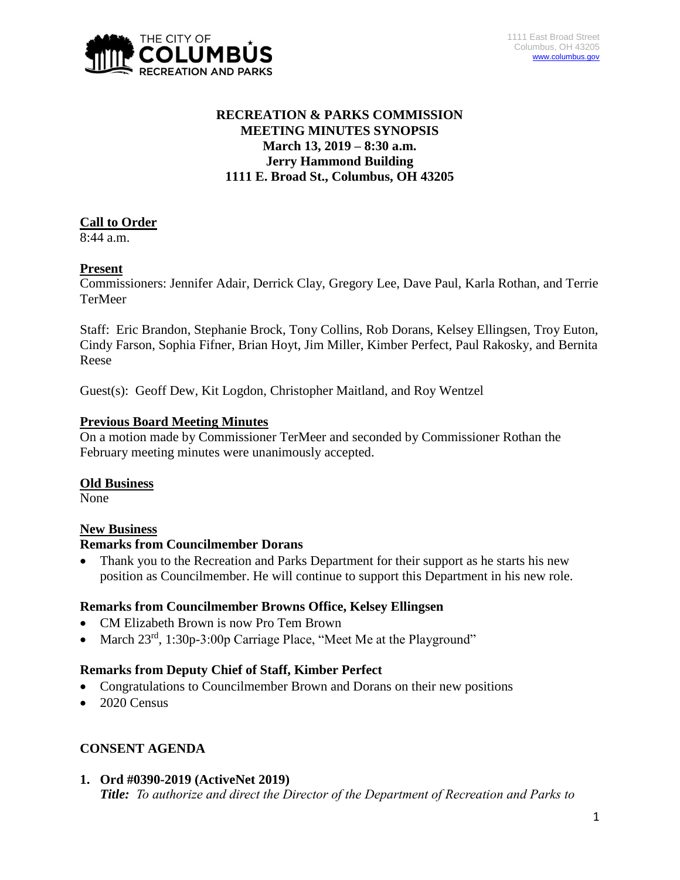

# **RECREATION & PARKS COMMISSION MEETING MINUTES SYNOPSIS March 13, 2019 – 8:30 a.m. Jerry Hammond Building 1111 E. Broad St., Columbus, OH 43205**

# **Call to Order**

8:44 a.m.

# **Present**

Commissioners: Jennifer Adair, Derrick Clay, Gregory Lee, Dave Paul, Karla Rothan, and Terrie TerMeer

Staff: Eric Brandon, Stephanie Brock, Tony Collins, Rob Dorans, Kelsey Ellingsen, Troy Euton, Cindy Farson, Sophia Fifner, Brian Hoyt, Jim Miller, Kimber Perfect, Paul Rakosky, and Bernita Reese

Guest(s): Geoff Dew, Kit Logdon, Christopher Maitland, and Roy Wentzel

## **Previous Board Meeting Minutes**

On a motion made by Commissioner TerMeer and seconded by Commissioner Rothan the February meeting minutes were unanimously accepted.

#### **Old Business**

None

# **New Business**

#### **Remarks from Councilmember Dorans**

• Thank you to the Recreation and Parks Department for their support as he starts his new position as Councilmember. He will continue to support this Department in his new role.

#### **Remarks from Councilmember Browns Office, Kelsey Ellingsen**

- CM Elizabeth Brown is now Pro Tem Brown
- March 23<sup>rd</sup>, 1:30p-3:00p Carriage Place, "Meet Me at the Playground"

# **Remarks from Deputy Chief of Staff, Kimber Perfect**

- Congratulations to Councilmember Brown and Dorans on their new positions
- $\bullet$  2020 Census

# **CONSENT AGENDA**

# **1. Ord #0390-2019 (ActiveNet 2019)**

*Title: To authorize and direct the Director of the Department of Recreation and Parks to*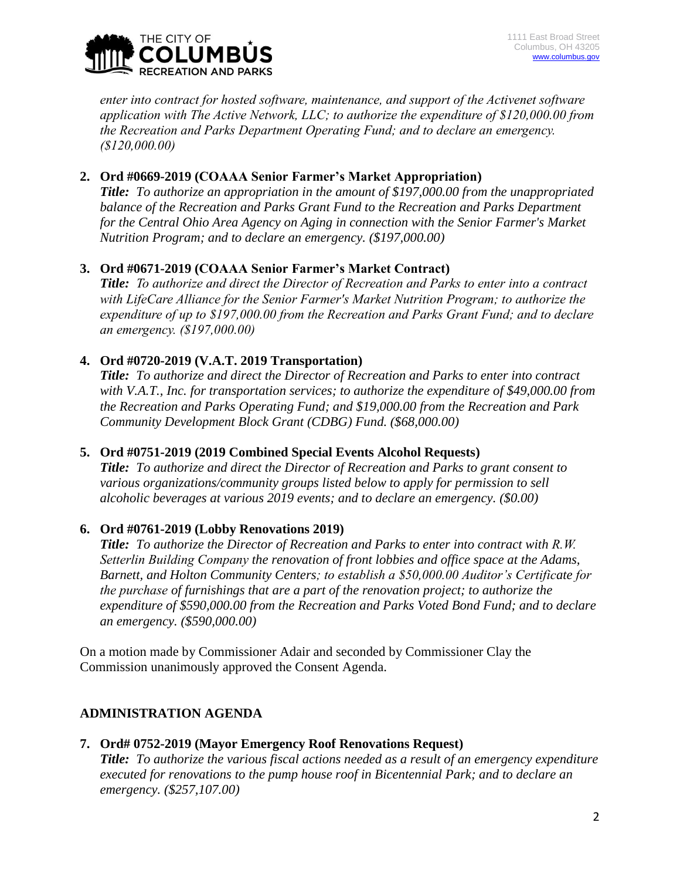

*enter into contract for hosted software, maintenance, and support of the Activenet software application with The Active Network, LLC; to authorize the expenditure of \$120,000.00 from the Recreation and Parks Department Operating Fund; and to declare an emergency. (\$120,000.00)*

## **2. Ord #0669-2019 (COAAA Senior Farmer's Market Appropriation)**

*Title: To authorize an appropriation in the amount of \$197,000.00 from the unappropriated balance of the Recreation and Parks Grant Fund to the Recreation and Parks Department for the Central Ohio Area Agency on Aging in connection with the Senior Farmer's Market Nutrition Program; and to declare an emergency. (\$197,000.00)*

## **3. Ord #0671-2019 (COAAA Senior Farmer's Market Contract)**

*Title: To authorize and direct the Director of Recreation and Parks to enter into a contract with LifeCare Alliance for the Senior Farmer's Market Nutrition Program; to authorize the expenditure of up to \$197,000.00 from the Recreation and Parks Grant Fund; and to declare an emergency. (\$197,000.00)*

## **4. Ord #0720-2019 (V.A.T. 2019 Transportation)**

*Title: To authorize and direct the Director of Recreation and Parks to enter into contract with V.A.T., Inc. for transportation services; to authorize the expenditure of \$49,000.00 from the Recreation and Parks Operating Fund; and \$19,000.00 from the Recreation and Park Community Development Block Grant (CDBG) Fund. (\$68,000.00)*

#### **5. Ord #0751-2019 (2019 Combined Special Events Alcohol Requests)**

*Title: To authorize and direct the Director of Recreation and Parks to grant consent to various organizations/community groups listed below to apply for permission to sell alcoholic beverages at various 2019 events; and to declare an emergency. (\$0.00)*

#### **6. Ord #0761-2019 (Lobby Renovations 2019)**

*Title: To authorize the Director of Recreation and Parks to enter into contract with R.W. Setterlin Building Company the renovation of front lobbies and office space at the Adams, Barnett, and Holton Community Centers; to establish a \$50,000.00 Auditor's Certificate for the purchase of furnishings that are a part of the renovation project; to authorize the expenditure of \$590,000.00 from the Recreation and Parks Voted Bond Fund; and to declare an emergency. (\$590,000.00)*

On a motion made by Commissioner Adair and seconded by Commissioner Clay the Commission unanimously approved the Consent Agenda.

#### **ADMINISTRATION AGENDA**

#### **7. Ord# 0752-2019 (Mayor Emergency Roof Renovations Request)**

*Title: To authorize the various fiscal actions needed as a result of an emergency expenditure executed for renovations to the pump house roof in Bicentennial Park; and to declare an emergency. (\$257,107.00)*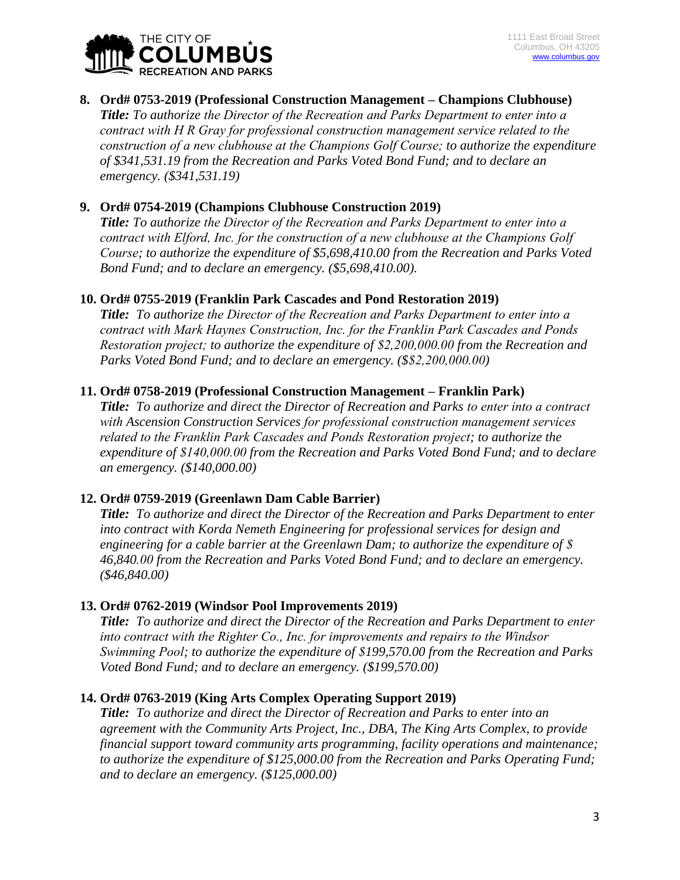

## **8. Ord# 0753-2019 (Professional Construction Management – Champions Clubhouse)** *Title: To authorize the Director of the Recreation and Parks Department to enter into a contract with H R Gray for professional construction management service related to the construction of a new clubhouse at the Champions Golf Course; to authorize the expenditure of \$341,531.19 from the Recreation and Parks Voted Bond Fund; and to declare an emergency. (\$341,531.19)*

## **9. Ord# 0754-2019 (Champions Clubhouse Construction 2019)**

*Title: To authorize the Director of the Recreation and Parks Department to enter into a contract with Elford, Inc. for the construction of a new clubhouse at the Champions Golf Course; to authorize the expenditure of \$5,698,410.00 from the Recreation and Parks Voted Bond Fund; and to declare an emergency. (\$5,698,410.00).*

#### **10. Ord# 0755-2019 (Franklin Park Cascades and Pond Restoration 2019)**

*Title: To authorize the Director of the Recreation and Parks Department to enter into a contract with Mark Haynes Construction, Inc. for the Franklin Park Cascades and Ponds Restoration project; to authorize the expenditure of \$2,200,000.00 from the Recreation and Parks Voted Bond Fund; and to declare an emergency. (\$\$2,200,000.00)*

#### **11. Ord# 0758-2019 (Professional Construction Management – Franklin Park)**

*Title: To authorize and direct the Director of Recreation and Parks to enter into a contract with Ascension Construction Services for professional construction management services related to the Franklin Park Cascades and Ponds Restoration project; to authorize the expenditure of \$140,000.00 from the Recreation and Parks Voted Bond Fund; and to declare an emergency. (\$140,000.00)*

#### **12. Ord# 0759-2019 (Greenlawn Dam Cable Barrier)**

*Title: To authorize and direct the Director of the Recreation and Parks Department to enter into contract with Korda Nemeth Engineering for professional services for design and engineering for a cable barrier at the Greenlawn Dam; to authorize the expenditure of \$ 46,840.00 from the Recreation and Parks Voted Bond Fund; and to declare an emergency. (\$46,840.00)*

#### **13. Ord# 0762-2019 (Windsor Pool Improvements 2019)**

*Title: To authorize and direct the Director of the Recreation and Parks Department to enter into contract with the Righter Co., Inc. for improvements and repairs to the Windsor Swimming Pool; to authorize the expenditure of \$199,570.00 from the Recreation and Parks Voted Bond Fund; and to declare an emergency. (\$199,570.00)*

#### **14. Ord# 0763-2019 (King Arts Complex Operating Support 2019)**

*Title: To authorize and direct the Director of Recreation and Parks to enter into an agreement with the Community Arts Project, Inc., DBA, The King Arts Complex, to provide financial support toward community arts programming, facility operations and maintenance; to authorize the expenditure of \$125,000.00 from the Recreation and Parks Operating Fund; and to declare an emergency. (\$125,000.00)*